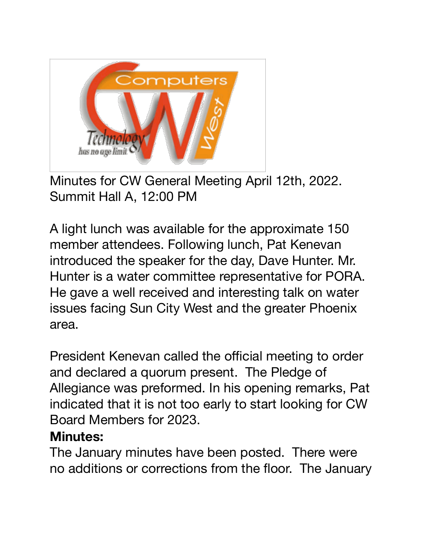

Minutes for CW General Meeting April 12th, 2022. Summit Hall A, 12:00 PM

A light lunch was available for the approximate 150 member attendees. Following lunch, Pat Kenevan introduced the speaker for the day, Dave Hunter. Mr. Hunter is a water committee representative for PORA. He gave a well received and interesting talk on water issues facing Sun City West and the greater Phoenix area.

President Kenevan called the official meeting to order and declared a quorum present. The Pledge of Allegiance was preformed. In his opening remarks, Pat indicated that it is not too early to start looking for CW Board Members for 2023.

## **Minutes:**

The January minutes have been posted. There were no additions or corrections from the floor. The January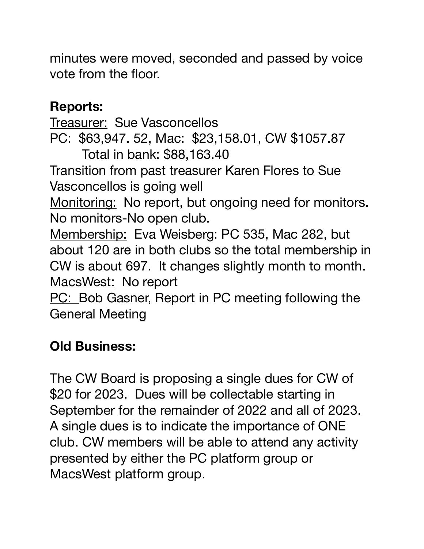minutes were moved, seconded and passed by voice vote from the floor.

## **Reports:**

Treasurer: Sue Vasconcellos PC: \$63,947. 52, Mac: \$23,158.01, CW \$1057.87 Total in bank: \$88,163.40 Transition from past treasurer Karen Flores to Sue Vasconcellos is going well Monitoring: No report, but ongoing need for monitors. No monitors-No open club. Membership: Eva Weisberg: PC 535, Mac 282, but about 120 are in both clubs so the total membership in CW is about 697. It changes slightly month to month. MacsWest: No report PC: Bob Gasner, Report in PC meeting following the

General Meeting

## **Old Business:**

The CW Board is proposing a single dues for CW of \$20 for 2023. Dues will be collectable starting in September for the remainder of 2022 and all of 2023. A single dues is to indicate the importance of ONE club. CW members will be able to attend any activity presented by either the PC platform group or MacsWest platform group.